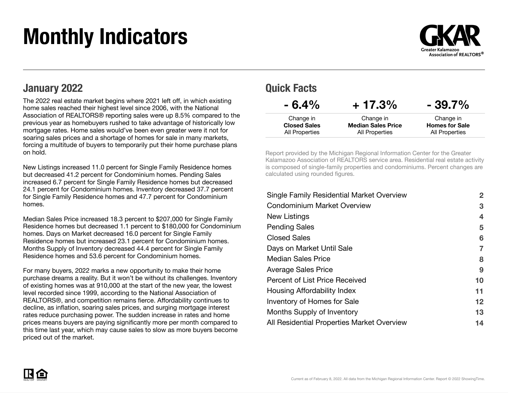# Monthly Indicators



#### January 2022

The 2022 real estate market begins where 2021 left off, in which existing home sales reached their highest level since 2006, with the National Association of REALTORS® reporting sales were up 8.5% compared to the previous year as homebuyers rushed to take advantage of historically low mortgage rates. Home sales would've been even greater were it not for soaring sales prices and a shortage of homes for sale in many markets, forcing a multitude of buyers to temporarily put their home purchase plans on hold.

New Listings increased 11.0 percent for Single Family Residence homes but decreased 41.2 percent for Condominium homes. Pending Sales increased 6.7 percent for Single Family Residence homes but decreased 24.1 percent for Condominium homes. Inventory decreased 37.7 percent for Single Family Residence homes and 47.7 percent for Condominium homes.

Median Sales Price increased 18.3 percent to \$207,000 for Single Family Residence homes but decreased 1.1 percent to \$180,000 for Condominium homes. Days on Market decreased 16.0 percent for Single Family Residence homes but increased 23.1 percent for Condominium homes. Months Supply of Inventory decreased 44.4 percent for Single Family Residence homes and 53.6 percent for Condominium homes.

For many buyers, 2022 marks a new opportunity to make their home purchase dreams a reality. But it won't be without its challenges. Inventory of existing homes was at 910,000 at the start of the new year, the lowest level recorded since 1999, according to the National Association of REALTORS®, and competition remains fierce. Affordability continues to decline, as inflation, soaring sales prices, and surging mortgage interest rates reduce purchasing power. The sudden increase in rates and home prices means buyers are paying significantly more per month compared to this time last year, which may cause sales to slow as more buyers become priced out of the market.

| <b>UMINITY</b>      |                           |                       |
|---------------------|---------------------------|-----------------------|
| $-6.4\%$            | $+17.3%$                  | $-39.7%$              |
| Change in           | Change in                 | Change in             |
| <b>Closed Sales</b> | <b>Median Sales Price</b> | <b>Homes for Sale</b> |
| All Properties      | <b>All Properties</b>     | All Properties        |

Quick Facts

Report provided by the Michigan Regional Information Center for the Greater Kalamazoo Association of REALTORS service area. Residential real estate activity is composed of single-family properties and condominiums. Percent changes are calculated using rounded figures.

| $\mathbf{2}$ |
|--------------|
| 3            |
| 4            |
| 5            |
| 6            |
| 7            |
| 8            |
| 9            |
| 10           |
| 11           |
| $12 \,$      |
| 13           |
| 14           |
|              |

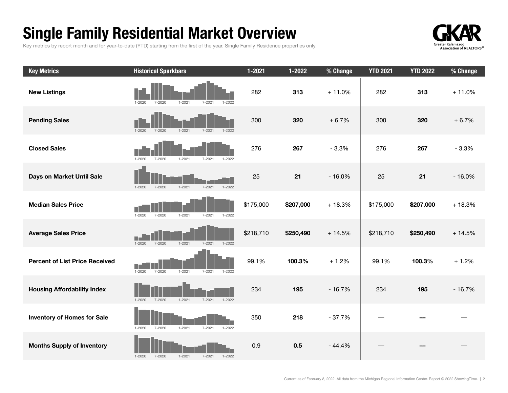## Single Family Residential Market Overview

Key metrics by report month and for year-to-date (YTD) starting from the first of the year. Single Family Residence properties only.



| <b>Key Metrics</b>                    | <b>Historical Sparkbars</b>                                                | $1 - 2021$ | $1 - 2022$ | % Change | <b>YTD 2021</b> | <b>YTD 2022</b> | % Change |
|---------------------------------------|----------------------------------------------------------------------------|------------|------------|----------|-----------------|-----------------|----------|
| <b>New Listings</b>                   | $1 - 2020$<br>$7 - 2020$<br>$1 - 2021$<br>$7 - 202$<br>1-2022              | 282        | 313        | $+11.0%$ | 282             | 313             | $+11.0%$ |
| <b>Pending Sales</b>                  | $1 - 2020$<br>$7 - 2020$<br>$1 - 2021$<br>$1 - 2022$<br>$7 - 2021$         | 300        | 320        | $+6.7%$  | 300             | 320             | $+6.7%$  |
| <b>Closed Sales</b>                   | $1 - 2020$<br>$7 - 2020$<br>$1 - 2021$<br>$7 - 2021$<br>$1 - 2022$         | 276        | 267        | $-3.3%$  | 276             | 267             | $-3.3%$  |
| Days on Market Until Sale             | $1 - 2022$<br>$1 - 2020$<br>$7 - 2020$<br>$1 - 2021$<br>$7 - 2021$         | 25         | 21         | $-16.0%$ | 25              | 21              | $-16.0%$ |
| <b>Median Sales Price</b>             | $1 - 2020$<br>$7 - 2020$<br>$1 - 2021$<br>$7 - 2021$<br>1-2022             | \$175,000  | \$207,000  | $+18.3%$ | \$175,000       | \$207,000       | $+18.3%$ |
| <b>Average Sales Price</b>            | n an<br>$1 - 2020$<br>$7 - 2020$<br>$1 - 2021$<br>$7 - 2021$<br>$1 - 2022$ | \$218,710  | \$250,490  | $+14.5%$ | \$218,710       | \$250,490       | $+14.5%$ |
| <b>Percent of List Price Received</b> | $1 - 2020$<br>$7 - 2020$<br>$1 - 2021$<br>$7 - 2021$<br>$1 - 2022$         | 99.1%      | 100.3%     | $+1.2%$  | 99.1%           | 100.3%          | $+1.2%$  |
| <b>Housing Affordability Index</b>    | $1 - 2020$<br>$7 - 2020$<br>$1 - 2021$<br>$1 - 2022$<br>$7 - 2021$         | 234        | 195        | $-16.7%$ | 234             | 195             | $-16.7%$ |
| <b>Inventory of Homes for Sale</b>    | $1 - 2021$<br>$7 - 2021$<br>$1 - 2022$<br>$1 - 2020$<br>$7 - 2020$         | 350        | 218        | $-37.7%$ |                 |                 |          |
| <b>Months Supply of Inventory</b>     | $7 - 2021$<br>$1 - 2020$<br>7-2020<br>$1 - 2021$<br>$1 - 2022$             | 0.9        | 0.5        | $-44.4%$ |                 |                 |          |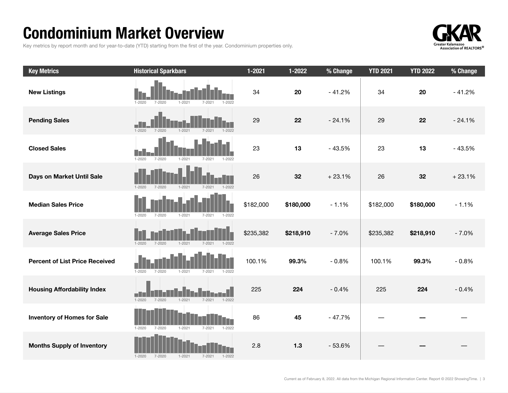### Condominium Market Overview

Key metrics by report month and for year-to-date (YTD) starting from the first of the year. Condominium properties only.



| <b>Key Metrics</b>                    | <b>Historical Sparkbars</b>                                        | $1 - 2021$ | $1 - 2022$ | % Change | <b>YTD 2021</b> | <b>YTD 2022</b> | % Change |
|---------------------------------------|--------------------------------------------------------------------|------------|------------|----------|-----------------|-----------------|----------|
| <b>New Listings</b>                   | $1 - 2020$<br>$7 - 2020$<br>$1 - 2022$<br>$1 - 2021$<br>$7 - 2021$ | 34         | 20         | $-41.2%$ | 34              | 20              | $-41.2%$ |
| <b>Pending Sales</b>                  | $1 - 2020$<br>$7 - 2020$<br>$1 - 2021$<br>$7 - 2021$<br>$1 - 2022$ | 29         | 22         | $-24.1%$ | 29              | 22              | $-24.1%$ |
| <b>Closed Sales</b>                   | $7 - 2020$<br>$1 - 2020$<br>$1 - 2021$<br>7-2021<br>1-2022         | 23         | 13         | $-43.5%$ | 23              | 13              | $-43.5%$ |
| Days on Market Until Sale             | $1 - 2020$<br>$7 - 2020$<br>$1 - 2021$<br>$7 - 2021$<br>$1 - 2022$ | 26         | 32         | $+23.1%$ | 26              | 32              | $+23.1%$ |
| <b>Median Sales Price</b>             | $7 - 2021$<br>$1 - 2020$<br>7-2020<br>$1 - 2021$<br>1-2022         | \$182,000  | \$180,000  | $-1.1%$  | \$182,000       | \$180,000       | $-1.1%$  |
| <b>Average Sales Price</b>            | $1 - 2020$<br>7-2020<br>$1 - 2021$<br>$7 - 2021$<br>$1 - 2022$     | \$235,382  | \$218,910  | $-7.0%$  | \$235,382       | \$218,910       | $-7.0%$  |
| <b>Percent of List Price Received</b> | $1 - 2020$<br>$7 - 2020$<br>$1 - 2021$<br>$7 - 2021$<br>$1 - 2022$ | 100.1%     | 99.3%      | $-0.8%$  | 100.1%          | 99.3%           | $-0.8%$  |
| <b>Housing Affordability Index</b>    | $7 - 2020$<br>$1 - 2021$<br>$1 - 2020$<br>$7 - 2021$<br>$1 - 2022$ | 225        | 224        | $-0.4%$  | 225             | 224             | $-0.4%$  |
| <b>Inventory of Homes for Sale</b>    | $1 - 2020$<br>$7 - 2020$<br>$1 - 2021$<br>$7 - 2021$<br>$1 - 2022$ | 86         | 45         | $-47.7%$ |                 |                 |          |
| <b>Months Supply of Inventory</b>     | $7 - 2020$<br>$1 - 2021$<br>$1 - 2020$<br>$7 - 2021$<br>$1 - 2022$ | 2.8        | $1.3$      | $-53.6%$ |                 |                 |          |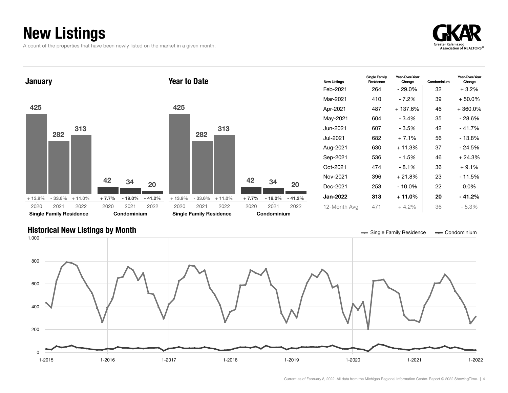## New Listings

A count of the properties that have been newly listed on the market in a given month.





#### Historical New Listings by Month **Single Tank and Accord Condominium** Single Family Residence **Single Family Residence Single Family Residence Single Family Residence Single Family Residence Single Family Residence**

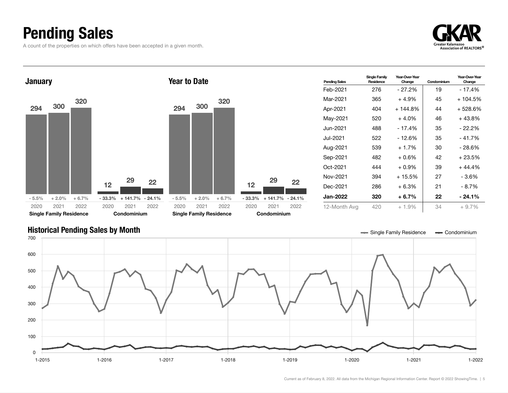## Pending Sales

A count of the properties on which offers have been accepted in a given month.





#### Historical Pending Sales by Month **Single Tana and Single Tana and Single Family Residence Single Family Residence Single Family Residence Single Family Residence Single Family Residence Single Family Residence**

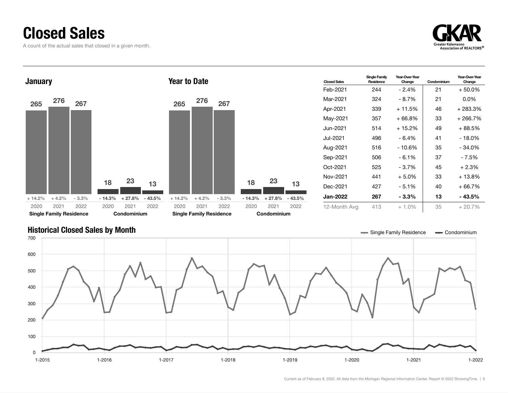#### Closed Sales

A count of the actual sales that closed in a given month.





#### Historical Closed Sales by Month **Single Tana and Single Tana and Single Family Residence Single Family Residence Single Family Residence Single Family Residence Single Family Residence**

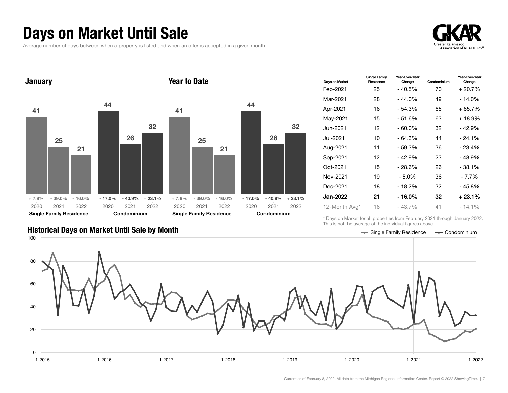#### Days on Market Until Sale

Average number of days between when a property is listed and when an offer is accepted in a given month.





| Days on Market | <b>Single Family</b><br>Residence | Year-Over-Year<br>Change | Condominium | Year-Over-Year<br>Change |
|----------------|-----------------------------------|--------------------------|-------------|--------------------------|
| Feb-2021       | 25                                | - 40.5%                  | 70          | + 20.7%                  |
| Mar-2021       | 28                                | $-44.0%$                 | 49          | - 14.0%                  |
| Apr-2021       | 16                                | $-54.3%$                 | 65          | $+85.7%$                 |
| May-2021       | 15                                | $-51.6%$                 | 63          | + 18.9%                  |
| Jun-2021.      | 12                                | $-60.0\%$                | 32          | - 42.9%                  |
| Jul-2021       | 10                                | - 64.3%                  | 44          | $-24.1\%$                |
| Aug-2021       | 11                                | $-59.3%$                 | 36          | $-23.4%$                 |
| Sep-2021       | 12                                | $-42.9%$                 | 23          | - 48.9%                  |
| Oct-2021       | 15                                | - 28.6%                  | 26          | - 38.1%                  |
| Nov-2021       | 19                                | - 5.0%                   | 36          | - 7.7%                   |
| Dec-2021       | 18                                | $-18.2%$                 | 32          | - 45.8%                  |
| Jan-2022       | 21                                | - 16.0%                  | 32          | $+23.1%$                 |
| 12-Month Avg*  | 16                                | $-43.7\%$                | 41          | - 14.1%                  |

Historical Days on Market Until Sale by Month School Charles Condominium Section 2004 2014 10:00 Condominium

\* Days on Market for all properties from February 2021 through January 2022. This is not the average of the individual figures above.

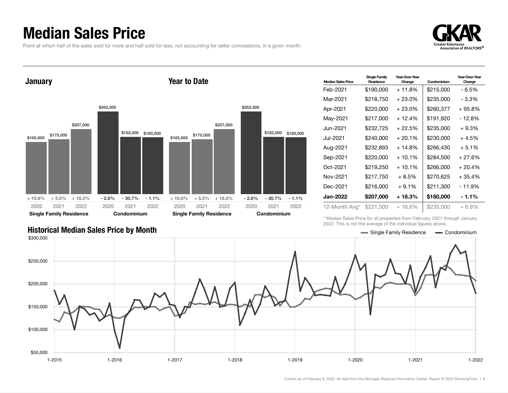#### Median Sales Price

Point at which half of the sales sold for more and half sold for less, not accounting for seller concessions, in a given month.

Year to Date

+ 10.8% + 5.5% + 18.3%

Single Family Residence

2021 2022 2020

2020



**January** \$165,900 \$175,000 \$207,000 \$262,500 \$182,000 \$180,000 \$165,900 \$175,000 \$207,000

- 2.8% - 30.7% - 1.1%

Condominium

2021 2022

| <b>Median Sales Price</b> | Single Family<br>Residence | Year-Over-Year<br>Change | Condominium | Year-Over-Year<br>Change |
|---------------------------|----------------------------|--------------------------|-------------|--------------------------|
| Feb-2021                  | \$190,000                  | + 11.8%                  | \$215,000   | - 6.5%                   |
| Mar-2021                  | \$218,750                  | $+23.0\%$                | \$235,000   | - 3.3%                   |
| Apr-2021                  | \$220,000                  | $+23.0\%$                | \$260,377   | $+95.8%$                 |
| May-2021                  | \$217,000                  | + 12.4%                  | \$191,920   | - 12.8%                  |
| Jun-2021                  | \$232,725                  | + 22.5%                  | \$235,000   | + 9.3%                   |
| Jul-2021                  | \$240,000                  | $+20.1%$                 | \$230,000   | + 4.5%                   |
| Aug-2021                  | \$232,893                  | $+14.8\%$                | \$266,430   | $+5.1%$                  |
| Sep-2021                  | \$220,000                  | $+10.1%$                 | \$284,500   | $+27.6%$                 |
| Oct-2021                  | \$219,250                  | $+10.1%$                 | \$266,000   | $+20.4%$                 |
| Nov-2021                  | \$217,750                  | $+8.5%$                  | \$270,625   | $+35.4%$                 |
| Dec-2021                  | \$216,000                  | $+9.1%$                  | \$211,300   | - 11.9%                  |
| Jan-2022                  | \$207,000                  | + 18.3%                  | \$180,000   | - 1.1%                   |
| 12-Month Avg*             | \$221,500                  | $+16.6%$                 | \$235,000   | $+6.8\%$                 |

2021 2022 2020

+ 10.8% + 5.5% + 18.3%

Single Family Residence

2020

\* Median Sales Price for all properties from February 2021 through January 2022. This is not the average of the individual figures above.



\$262,500

\$182,000 \$180,000

- 2.8% - 30.7% - 1.1%

Condominium

2021 2022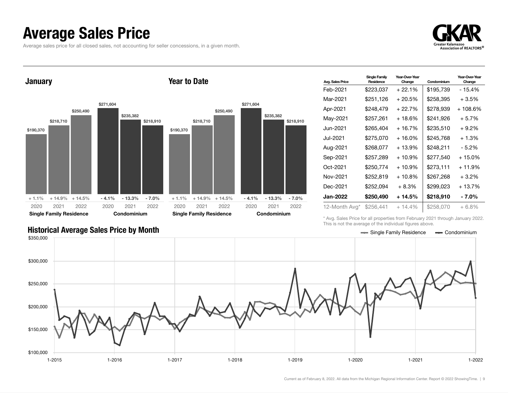#### Average Sales Price

Average sales price for all closed sales, not accounting for seller concessions, in a given month.



**January** 

#### Year to Date



| <b>Avg. Sales Price</b> | <b>Single Family</b><br>Residence | Year-Over-Year<br>Change | Condominium | Year-Over-Year<br>Change |
|-------------------------|-----------------------------------|--------------------------|-------------|--------------------------|
| Feb-2021                | \$223,037                         | $+22.1%$                 | \$195,739   | - 15.4%                  |
| Mar-2021                | \$251,126                         | $+20.5%$                 | \$258,395   | + 3.5%                   |
| Apr-2021                | \$248,479                         | + 22.7%                  | \$278,939   | + 108.6%                 |
| May-2021                | \$257.261                         | + 18.6%                  | \$241,926   | $+5.7%$                  |
| Jun-2021.               | \$265,404                         | $+16.7%$                 | \$235,510   | + 9.2%                   |
| Jul-2021                | \$275,070                         | + 16.0%                  | \$245,768   | $+1.3%$                  |
| Aug-2021                | \$268,077                         | + 13.9%                  | \$248.211   | - 5.2%                   |
| Sep-2021                | \$257,289                         | $+10.9%$                 | \$277,540   | $+15.0\%$                |
| Oct-2021                | \$250,774                         | + 10.9%                  | \$273,111   | + 11.9%                  |
| Nov-2021                | \$252,819                         | $+10.8%$                 | \$267.268   | $+3.2%$                  |
| Dec-2021                | \$252,094                         | $+8.3%$                  | \$299,023   | + 13.7%                  |
| Jan-2022                | \$250,490                         | + 14.5%                  | \$218,910   | - 7.0%                   |
| 12-Month Avg*           | \$256,441                         | $+14.4%$                 | \$258,070   | $+6.8\%$                 |

\* Avg. Sales Price for all properties from February 2021 through January 2022. This is not the average of the individual figures above.

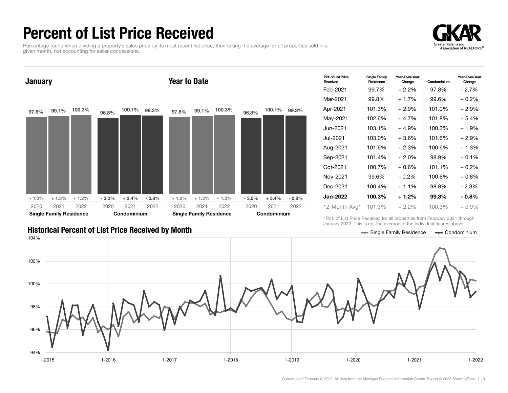## Percent of List Price Received

Percentage found when dividing a property's sales price by its most recent list price, then taking the average for all properties sold in a given month, not accounting for seller concessions.





| Pct. of List Price<br>Received | <b>Single Family</b><br>Residence | Year-Over-Year<br>Change | Condominium | Year-Over-Year<br>Change |
|--------------------------------|-----------------------------------|--------------------------|-------------|--------------------------|
| Feb-2021                       | 99.7%                             | $+2.2\%$                 | 97.8%       | $-2.7%$                  |
| Mar-2021                       | 99.8%                             | $+1.7%$                  | 99.6%       | $+0.2%$                  |
| Apr-2021                       | 101.3%                            | $+2.9\%$                 | 101.0%      | $+2.9%$                  |
| Mav-2021                       | 102.6%                            | $+4.7%$                  | 101.8%      | $+5.4%$                  |
| Jun-2021                       | 103.1%                            | $+4.9%$                  | 100.3%      | $+1.9%$                  |
| Jul-2021                       | 103.0%                            | $+3.6%$                  | 101.6%      | $+2.9%$                  |
| Aug-2021                       | 101.6%                            | $+2.3%$                  | 100.6%      | $+1.3%$                  |
| Sep-2021                       | 101.4%                            | $+2.0%$                  | 98.9%       | $+0.1\%$                 |
| Oct-2021                       | 100.7%                            | $+0.6\%$                 | 101.1%      | $+0.2%$                  |
| Nov-2021                       | 99.6%                             | $-0.2%$                  | 100.6%      | $+0.8%$                  |
| Dec-2021                       | 100.4%                            | + 1.1%                   | 98.8%       | - 2.3%                   |
| Jan-2022                       | 100.3%                            | $+1.2%$                  | 99.3%       | $-0.8\%$                 |
| 12-Month Avg*                  | 101.3%                            | $+2.2%$                  | 100.3%      | $+0.9\%$                 |

Historical Percent of List Price Received by Month Single Tank Condominium According the Single Family Residence Condominium

\* Pct. of List Price Received for all properties from February 2021 through January 2022. This is not the average of the individual figures above.

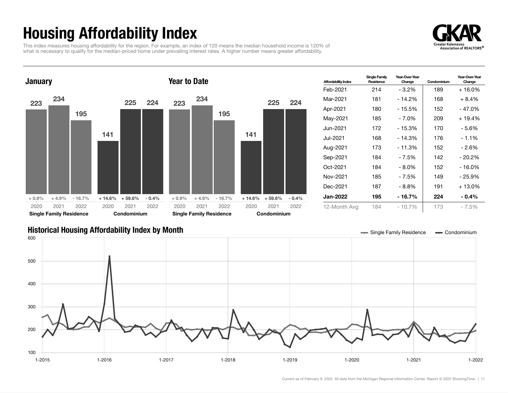## Housing Affordability Index

This index measures housing affordability for the region. For example, an index of 120 means the median household income is 120% of what is necessary to qualify for the median-priced home under prevailing interest rates. A higher number means greater affordability.





| <b>Affordability Index</b> | <b>Single Family</b><br>Residence | Year-Over-Year<br>Change | Condominium | Year-Over-Year<br>Change |
|----------------------------|-----------------------------------|--------------------------|-------------|--------------------------|
| Feb-2021                   | 214                               | $-3.2\%$                 | 189         | + 16.0%                  |
| Mar-2021                   | 181                               | $-14.2%$                 | 168         | $+8.4%$                  |
| Apr-2021                   | 180                               | - 15.5%                  | 152         | - 47.0%                  |
| May-2021                   | 185                               | - 7.0%                   | 209         | $+19.4%$                 |
| Jun-2021.                  | 172                               | $-15.3%$                 | 170         | - 5.6%                   |
| Jul-2021.                  | 168                               | $-14.3%$                 | 176         | $-1.1%$                  |
| Aug-2021                   | 173                               | $-11.3%$                 | 152         | - 2.6%                   |
| Sep-2021                   | 184                               | - 7.5%                   | 142         | $-20.2%$                 |
| Oct-2021                   | 184                               | $-8.0\%$                 | 152         | - 16.0%                  |
| Nov-2021                   | 185                               | $-7.5%$                  | 149         | - 25.9%                  |
| Dec-2021                   | 187                               | - 8.8%                   | 191         | $+13.0\%$                |
| Jan-2022                   | 195                               | - 16.7%                  | 224         | $-0.4\%$                 |
| 12-Month Avg               | 184                               | $-10.7\%$                | 173         | $-7.5%$                  |

#### Historical Housing Affordability Index by Month Single Tark Condominium Condominium

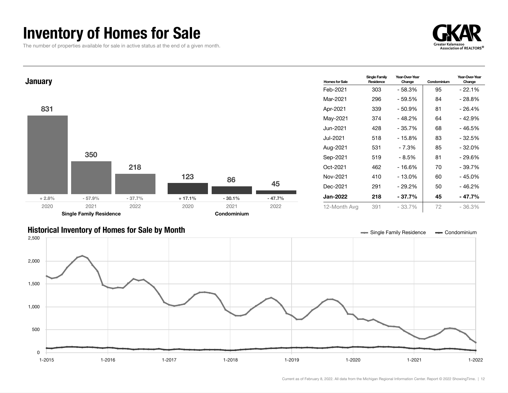## Inventory of Homes for Sale

The number of properties available for sale in active status at the end of a given month.





#### Historical Inventory of Homes for Sale by Month  $\blacksquare$  Single Family Residence  $\blacksquare$  Condominium

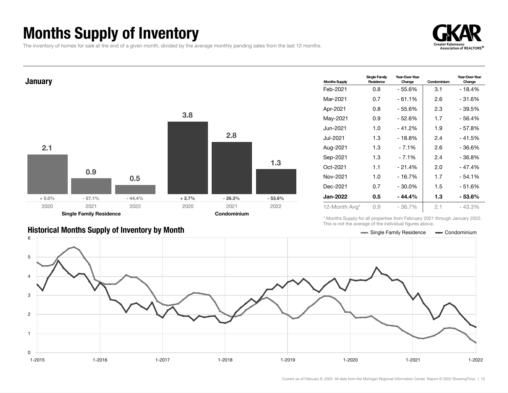## Months Supply of Inventory

The inventory of homes for sale at the end of a given month, divided by the average monthly pending sales from the last 12 months.





| <b>Historical Months Supply of Inventory by Month</b> | Single Family Residence - Condominium |  |
|-------------------------------------------------------|---------------------------------------|--|

| <b>Months Supply</b> | Single Family<br>Residence | Year-Over-Year<br>Change | Condominium | Year-Over-Year<br>Change |
|----------------------|----------------------------|--------------------------|-------------|--------------------------|
| Feb-2021             | 0.8                        | - 55.6%                  | 3.1         | - 18.4%                  |
| Mar-2021             | 0.7                        | - 61.1%                  | 2.6         | - 31.6%                  |
| Apr-2021             | 0.8                        | - 55.6%                  | 2.3         | - 39.5%                  |
| May-2021             | 0.9                        | - 52.6%                  | 1.7         | - 56.4%                  |
| Jun-2021.            | 1.0                        | $-41.2%$                 | 1.9         | - 57.8%                  |
| Jul-2021             | 1.3                        | - 18.8%                  | 2.4         | - 41.5%                  |
| Aug-2021             | 1.3                        | $-7.1%$                  | 2.6         | - 36.6%                  |
| Sep-2021             | 1.3                        | - 7.1%                   | 2.4         | - 36.8%                  |
| Oct-2021             | 1.1                        | $-21.4%$                 | 2.0         | - 47.4%                  |
| Nov-2021             | 1.0                        | $-16.7%$                 | 1.7         | - 54.1%                  |
| Dec-2021             | 0.7                        | $-30.0\%$                | 1.5         | - 51.6%                  |
| Jan-2022             | 0.5                        | $-44.4%$                 | 1.3         | - 53.6%                  |
| 12-Month Avg*        | 0.9                        | $-36.7%$                 | 2.1         | $-43.3%$                 |

\* Months Supply for all properties from February 2021 through January 2022. This is not the average of the individual figures above.